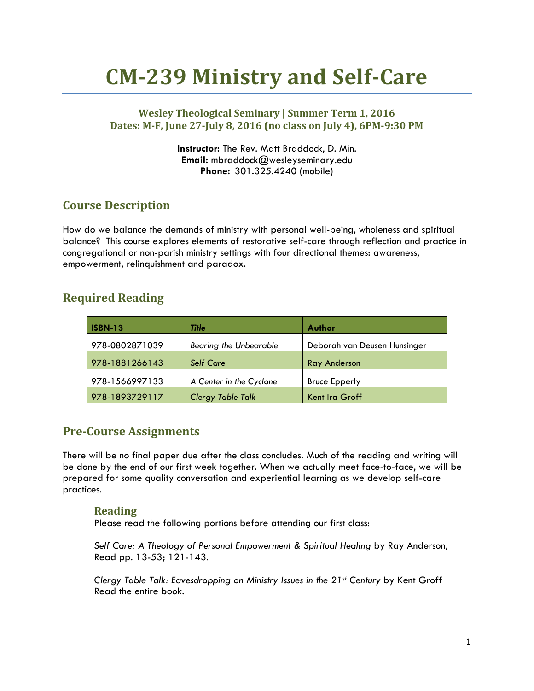# **CM-239 Ministry and Self-Care**

## **Wesley Theological Seminary | Summer Term 1, 2016 Dates: M-F, June 27-July 8, 2016 (no class on July 4), 6PM-9:30 PM**

**Instructor:** The Rev. Matt Braddock, D. Min. **Email:** mbraddock@wesleyseminary.edu **Phone:** 301.325.4240 (mobile)

# **Course Description**

How do we balance the demands of ministry with personal well-being, wholeness and spiritual balance? This course explores elements of restorative self-care through reflection and practice in congregational or non-parish ministry settings with four directional themes: awareness, empowerment, relinquishment and paradox.

## **Required Reading**

| <b>ISBN-13</b> | Title                         | Author                       |
|----------------|-------------------------------|------------------------------|
| 978-0802871039 | <b>Bearing the Unbearable</b> | Deborah van Deusen Hunsinger |
| 978-1881266143 | <b>Self Care</b>              | <b>Ray Anderson</b>          |
| 978-1566997133 | A Center in the Cyclone       | <b>Bruce Epperly</b>         |
| 978-1893729117 | <b>Clergy Table Talk</b>      | Kent Ira Groff               |

## **Pre-Course Assignments**

There will be no final paper due after the class concludes. Much of the reading and writing will be done by the end of our first week together. When we actually meet face-to-face, we will be prepared for some quality conversation and experiential learning as we develop self-care practices.

### **Reading**

Please read the following portions before attending our first class:

*Self Care: A Theology of Personal Empowerment & Spiritual Healing* by Ray Anderson, Read pp. 13-53; 121-143.

*Clergy Table Talk: Eavesdropping on Ministry Issues in the 21st Century* by Kent Groff Read the entire book.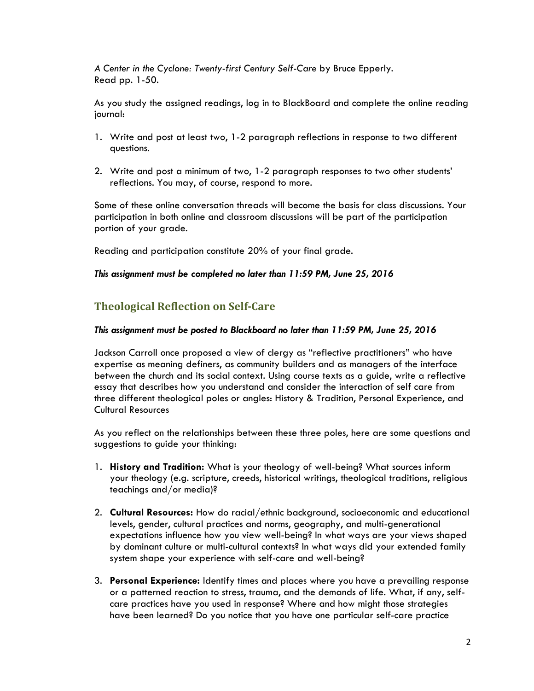*A Center in the Cyclone: Twenty-first Century Self-Care* by Bruce Epperly. Read pp. 1-50.

As you study the assigned readings, log in to BlackBoard and complete the online reading journal:

- 1. Write and post at least two, 1-2 paragraph reflections in response to two different questions.
- 2. Write and post a minimum of two, 1-2 paragraph responses to two other students' reflections. You may, of course, respond to more.

Some of these online conversation threads will become the basis for class discussions. Your participation in both online and classroom discussions will be part of the participation portion of your grade.

Reading and participation constitute 20% of your final grade.

#### *This assignment must be completed no later than 11:59 PM, June 25, 2016*

## **Theological Reflection on Self-Care**

#### *This assignment must be posted to Blackboard no later than 11:59 PM, June 25, 2016*

Jackson Carroll once proposed a view of clergy as "reflective practitioners" who have expertise as meaning definers, as community builders and as managers of the interface between the church and its social context. Using course texts as a guide, write a reflective essay that describes how you understand and consider the interaction of self care from three different theological poles or angles: History & Tradition, Personal Experience, and Cultural Resources

As you reflect on the relationships between these three poles, here are some questions and suggestions to guide your thinking:

- 1. **History and Tradition:** What is your theology of well-being? What sources inform your theology (e.g. scripture, creeds, historical writings, theological traditions, religious teachings and/or media)?
- 2. **Cultural Resources:** How do racial/ethnic background, socioeconomic and educational levels, gender, cultural practices and norms, geography, and multi-generational expectations influence how you view well-being? In what ways are your views shaped by dominant culture or multi-cultural contexts? In what ways did your extended family system shape your experience with self-care and well-being?
- 3. **Personal Experience:** Identify times and places where you have a prevailing response or a patterned reaction to stress, trauma, and the demands of life. What, if any, selfcare practices have you used in response? Where and how might those strategies have been learned? Do you notice that you have one particular self-care practice